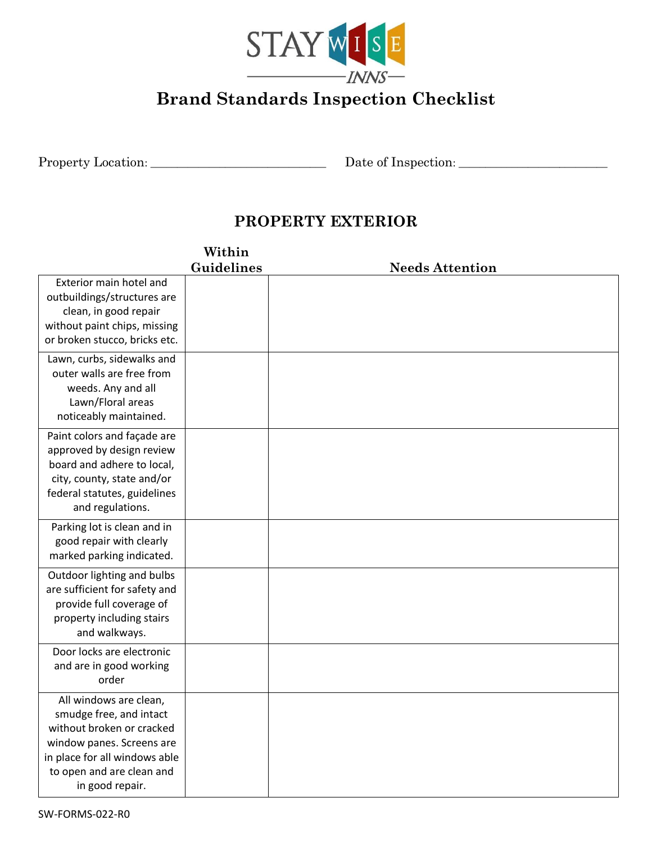

# **Brand Standards Inspection Checklist**

Property Location: \_\_\_\_\_\_\_\_\_\_\_\_\_\_\_\_\_\_\_\_\_\_\_\_\_\_\_\_\_\_\_\_\_ Date of Inspection: \_\_\_\_\_\_\_\_\_\_\_\_\_\_\_\_\_\_\_\_\_\_\_\_\_\_\_\_

## **PROPERTY EXTERIOR**

|                                                                                                                                                                                              | Within     |                        |
|----------------------------------------------------------------------------------------------------------------------------------------------------------------------------------------------|------------|------------------------|
|                                                                                                                                                                                              | Guidelines | <b>Needs Attention</b> |
| Exterior main hotel and<br>outbuildings/structures are<br>clean, in good repair<br>without paint chips, missing<br>or broken stucco, bricks etc.                                             |            |                        |
| Lawn, curbs, sidewalks and<br>outer walls are free from<br>weeds. Any and all<br>Lawn/Floral areas<br>noticeably maintained.                                                                 |            |                        |
| Paint colors and façade are<br>approved by design review<br>board and adhere to local,<br>city, county, state and/or<br>federal statutes, guidelines<br>and regulations.                     |            |                        |
| Parking lot is clean and in<br>good repair with clearly<br>marked parking indicated.                                                                                                         |            |                        |
| Outdoor lighting and bulbs<br>are sufficient for safety and<br>provide full coverage of<br>property including stairs<br>and walkways.                                                        |            |                        |
| Door locks are electronic<br>and are in good working<br>order                                                                                                                                |            |                        |
| All windows are clean,<br>smudge free, and intact<br>without broken or cracked<br>window panes. Screens are<br>in place for all windows able<br>to open and are clean and<br>in good repair. |            |                        |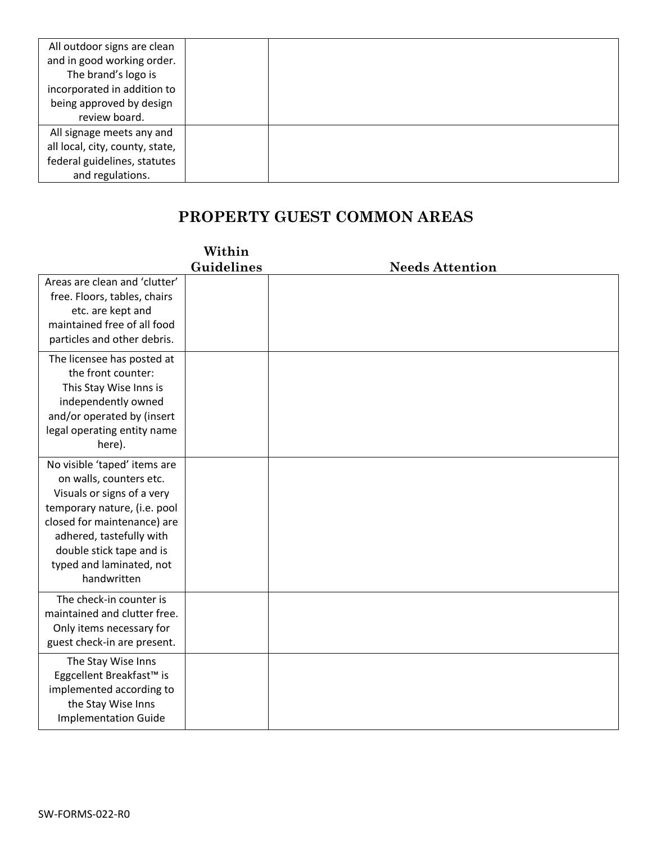| All outdoor signs are clean     |  |
|---------------------------------|--|
| and in good working order.      |  |
| The brand's logo is             |  |
| incorporated in addition to     |  |
| being approved by design        |  |
| review board.                   |  |
| All signage meets any and       |  |
| all local, city, county, state, |  |
| federal guidelines, statutes    |  |
| and regulations.                |  |

## **PROPERTY GUEST COMMON AREAS**

|                                                                                                                                                                                                                                                         | Within     |                        |
|---------------------------------------------------------------------------------------------------------------------------------------------------------------------------------------------------------------------------------------------------------|------------|------------------------|
|                                                                                                                                                                                                                                                         | Guidelines | <b>Needs Attention</b> |
| Areas are clean and 'clutter'<br>free. Floors, tables, chairs<br>etc. are kept and<br>maintained free of all food<br>particles and other debris.                                                                                                        |            |                        |
| The licensee has posted at<br>the front counter:<br>This Stay Wise Inns is<br>independently owned<br>and/or operated by (insert<br>legal operating entity name<br>here).                                                                                |            |                        |
| No visible 'taped' items are<br>on walls, counters etc.<br>Visuals or signs of a very<br>temporary nature, (i.e. pool<br>closed for maintenance) are<br>adhered, tastefully with<br>double stick tape and is<br>typed and laminated, not<br>handwritten |            |                        |
| The check-in counter is<br>maintained and clutter free.<br>Only items necessary for<br>guest check-in are present.                                                                                                                                      |            |                        |
| The Stay Wise Inns<br>Eggcellent Breakfast <sup>™</sup> is<br>implemented according to<br>the Stay Wise Inns<br><b>Implementation Guide</b>                                                                                                             |            |                        |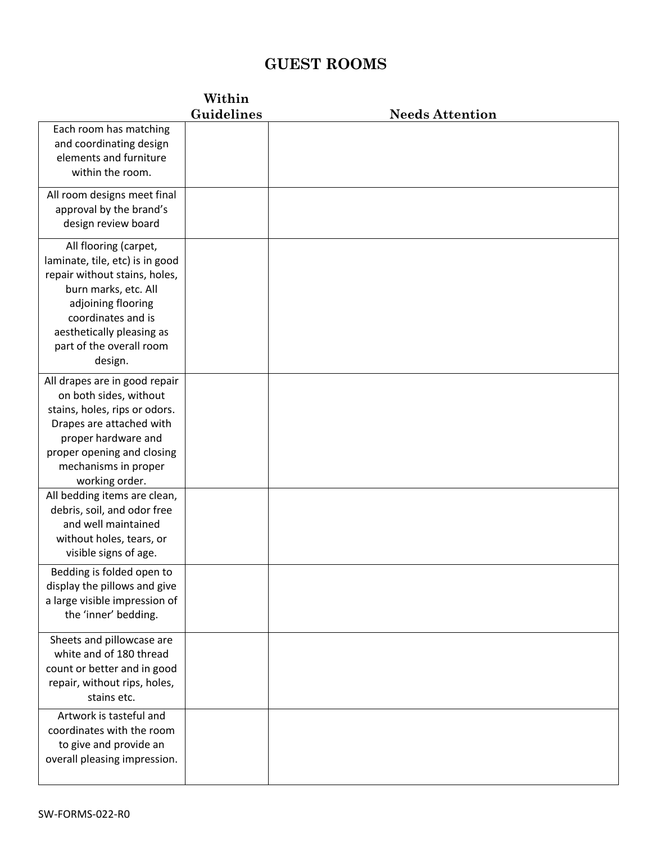## **GUEST ROOMS**

#### **Within**

|                                                                                                                                                                                                                                   | Guidelines | <b>Needs Attention</b> |
|-----------------------------------------------------------------------------------------------------------------------------------------------------------------------------------------------------------------------------------|------------|------------------------|
| Each room has matching<br>and coordinating design<br>elements and furniture<br>within the room.                                                                                                                                   |            |                        |
| All room designs meet final<br>approval by the brand's<br>design review board                                                                                                                                                     |            |                        |
| All flooring (carpet,<br>laminate, tile, etc) is in good<br>repair without stains, holes,<br>burn marks, etc. All<br>adjoining flooring<br>coordinates and is<br>aesthetically pleasing as<br>part of the overall room<br>design. |            |                        |
| All drapes are in good repair<br>on both sides, without<br>stains, holes, rips or odors.<br>Drapes are attached with<br>proper hardware and<br>proper opening and closing<br>mechanisms in proper<br>working order.               |            |                        |
| All bedding items are clean,<br>debris, soil, and odor free<br>and well maintained<br>without holes, tears, or<br>visible signs of age.                                                                                           |            |                        |
| Bedding is folded open to<br>display the pillows and give<br>a large visible impression of<br>the 'inner' bedding.                                                                                                                |            |                        |
| Sheets and pillowcase are<br>white and of 180 thread<br>count or better and in good<br>repair, without rips, holes,<br>stains etc.                                                                                                |            |                        |
| Artwork is tasteful and<br>coordinates with the room<br>to give and provide an<br>overall pleasing impression.                                                                                                                    |            |                        |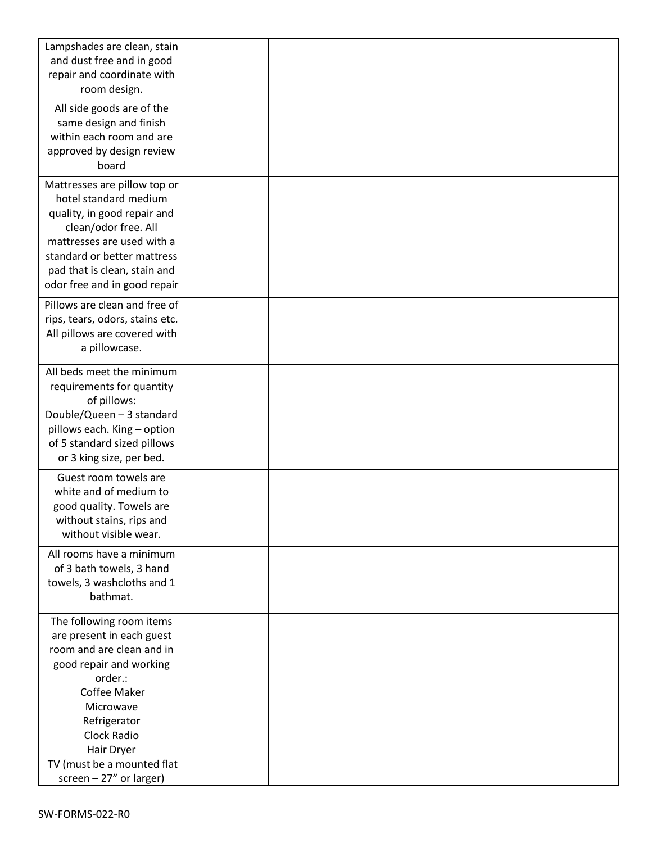| Lampshades are clean, stain                           |  |
|-------------------------------------------------------|--|
| and dust free and in good                             |  |
| repair and coordinate with                            |  |
| room design.                                          |  |
| All side goods are of the                             |  |
| same design and finish                                |  |
| within each room and are                              |  |
| approved by design review                             |  |
| board                                                 |  |
|                                                       |  |
| Mattresses are pillow top or<br>hotel standard medium |  |
|                                                       |  |
| quality, in good repair and<br>clean/odor free. All   |  |
| mattresses are used with a                            |  |
| standard or better mattress                           |  |
| pad that is clean, stain and                          |  |
| odor free and in good repair                          |  |
|                                                       |  |
| Pillows are clean and free of                         |  |
| rips, tears, odors, stains etc.                       |  |
| All pillows are covered with                          |  |
| a pillowcase.                                         |  |
| All beds meet the minimum                             |  |
| requirements for quantity                             |  |
| of pillows:                                           |  |
| Double/Queen - 3 standard                             |  |
| pillows each. King - option                           |  |
| of 5 standard sized pillows                           |  |
| or 3 king size, per bed.                              |  |
| Guest room towels are                                 |  |
| white and of medium to                                |  |
| good quality. Towels are                              |  |
| without stains, rips and                              |  |
| without visible wear.                                 |  |
| All rooms have a minimum                              |  |
| of 3 bath towels, 3 hand                              |  |
| towels, 3 washcloths and 1                            |  |
| bathmat.                                              |  |
| The following room items                              |  |
| are present in each guest                             |  |
| room and are clean and in                             |  |
| good repair and working                               |  |
| order.:                                               |  |
| Coffee Maker                                          |  |
| Microwave                                             |  |
| Refrigerator                                          |  |
| <b>Clock Radio</b>                                    |  |
| Hair Dryer                                            |  |
| TV (must be a mounted flat                            |  |
| screen $-27$ " or larger)                             |  |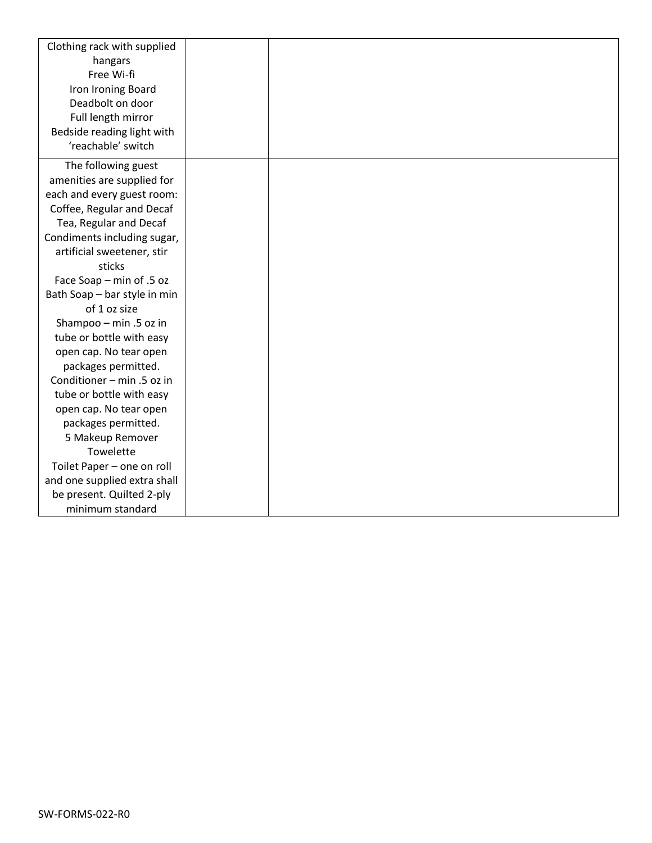| Clothing rack with supplied  |  |
|------------------------------|--|
| hangars                      |  |
| Free Wi-fi                   |  |
| Iron Ironing Board           |  |
| Deadbolt on door             |  |
| Full length mirror           |  |
| Bedside reading light with   |  |
| 'reachable' switch           |  |
| The following guest          |  |
| amenities are supplied for   |  |
| each and every guest room:   |  |
| Coffee, Regular and Decaf    |  |
| Tea, Regular and Decaf       |  |
| Condiments including sugar,  |  |
| artificial sweetener, stir   |  |
| sticks                       |  |
| Face Soap - min of .5 oz     |  |
| Bath Soap - bar style in min |  |
| of 1 oz size                 |  |
| Shampoo - min .5 oz in       |  |
| tube or bottle with easy     |  |
| open cap. No tear open       |  |
| packages permitted.          |  |
| Conditioner - min .5 oz in   |  |
| tube or bottle with easy     |  |
| open cap. No tear open       |  |
| packages permitted.          |  |
| 5 Makeup Remover             |  |
| Towelette                    |  |
| Toilet Paper - one on roll   |  |
| and one supplied extra shall |  |
| be present. Quilted 2-ply    |  |
| minimum standard             |  |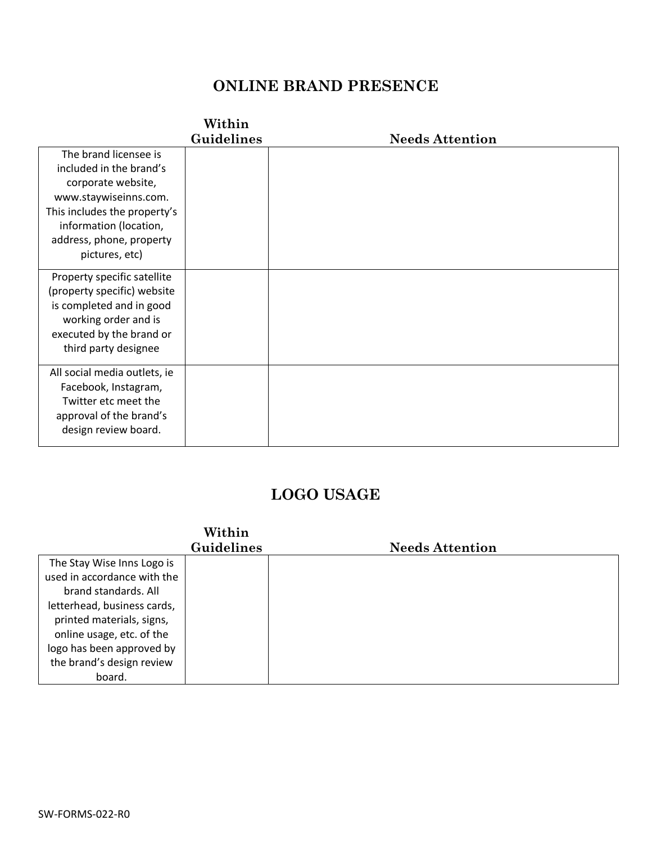## **ONLINE BRAND PRESENCE**

## **Within**

|                              | Guidelines | <b>Needs Attention</b> |
|------------------------------|------------|------------------------|
| The brand licensee is        |            |                        |
| included in the brand's      |            |                        |
| corporate website,           |            |                        |
| www.staywiseinns.com.        |            |                        |
| This includes the property's |            |                        |
| information (location,       |            |                        |
| address, phone, property     |            |                        |
| pictures, etc)               |            |                        |
| Property specific satellite  |            |                        |
| (property specific) website  |            |                        |
| is completed and in good     |            |                        |
| working order and is         |            |                        |
| executed by the brand or     |            |                        |
| third party designee         |            |                        |
| All social media outlets, ie |            |                        |
| Facebook, Instagram,         |            |                        |
| Twitter etc meet the         |            |                        |
| approval of the brand's      |            |                        |
| design review board.         |            |                        |
|                              |            |                        |

#### **LOGO USAGE**

|                             | Within     |                        |
|-----------------------------|------------|------------------------|
|                             | Guidelines | <b>Needs Attention</b> |
| The Stay Wise Inns Logo is  |            |                        |
| used in accordance with the |            |                        |
| brand standards. All        |            |                        |
| letterhead, business cards, |            |                        |
| printed materials, signs,   |            |                        |
| online usage, etc. of the   |            |                        |
| logo has been approved by   |            |                        |
| the brand's design review   |            |                        |
| board.                      |            |                        |